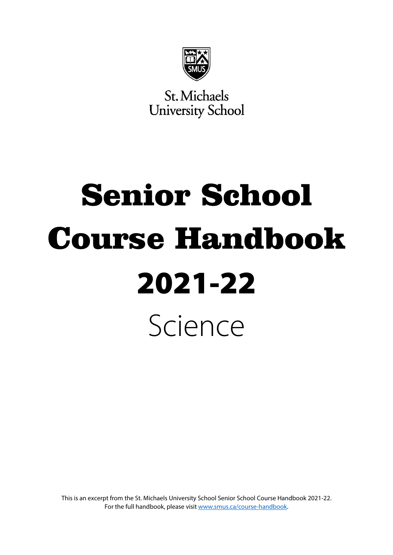

St. Michaels **University School** 

# Senior School Course Handbook 2021-22 Science

This is an excerpt from the St. Michaels University School Senior School Course Handbook 2021-22. For the full handbook, please visi[t www.smus.ca/course-handbook.](https://www.smus.ca/course-handbook)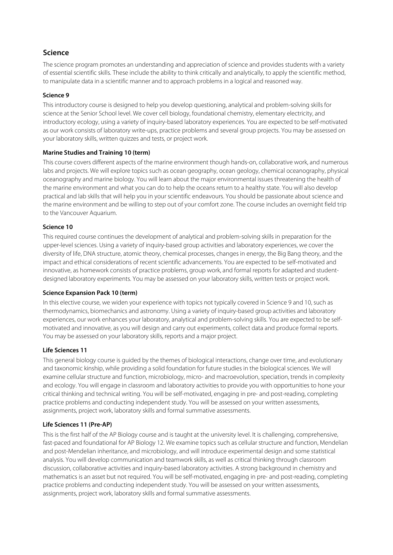# **Science**

The science program promotes an understanding and appreciation of science and provides students with a variety of essential scientific skills. These include the ability to think critically and analytically, to apply the scientific method, to manipulate data in a scientific manner and to approach problems in a logical and reasoned way.

# **Science 9**

This introductory course is designed to help you develop questioning, analytical and problem-solving skills for science at the Senior School level. We cover cell biology, foundational chemistry, elementary electricity, and introductory ecology, using a variety of inquiry-based laboratory experiences. You are expected to be self-motivated as our work consists of laboratory write-ups, practice problems and several group projects. You may be assessed on your laboratory skills, written quizzes and tests, or project work.

#### **Marine Studies and Training 10 (term)**

This course covers different aspects of the marine environment though hands-on, collaborative work, and numerous labs and projects. We will explore topics such as ocean geography, ocean geology, chemical oceanography, physical oceanography and marine biology. You will learn about the major environmental issues threatening the health of the marine environment and what you can do to help the oceans return to a healthy state. You will also develop practical and lab skills that will help you in your scientific endeavours. You should be passionate about science and the marine environment and be willing to step out of your comfort zone. The course includes an overnight field trip to the Vancouver Aquarium.

#### **Science 10**

This required course continues the development of analytical and problem-solving skills in preparation for the upper-level sciences. Using a variety of inquiry-based group activities and laboratory experiences, we cover the diversity of life, DNA structure, atomic theory, chemical processes, changes in energy, the Big Bang theory, and the impact and ethical considerations of recent scientific advancements. You are expected to be self-motivated and innovative, as homework consists of practice problems, group work, and formal reports for adapted and studentdesigned laboratory experiments. You may be assessed on your laboratory skills, written tests or project work.

# **Science Expansion Pack 10 (term)**

In this elective course, we widen your experience with topics not typically covered in Science 9 and 10, such as thermodynamics, biomechanics and astronomy. Using a variety of inquiry-based group activities and laboratory experiences, our work enhances your laboratory, analytical and problem-solving skills. You are expected to be selfmotivated and innovative, as you will design and carry out experiments, collect data and produce formal reports. You may be assessed on your laboratory skills, reports and a major project.

# **Life Sciences 11**

This general biology course is guided by the themes of biological interactions, change over time, and evolutionary and taxonomic kinship, while providing a solid foundation for future studies in the biological sciences. We will examine cellular structure and function, microbiology, micro- and macroevolution, speciation, trends in complexity and ecology. You will engage in classroom and laboratory activities to provide you with opportunities to hone your critical thinking and technical writing. You will be self-motivated, engaging in pre- and post-reading, completing practice problems and conducting independent study. You will be assessed on your written assessments, assignments, project work, laboratory skills and formal summative assessments.

# **Life Sciences 11 (Pre-AP)**

This is the first half of the AP Biology course and is taught at the university level. It is challenging, comprehensive, fast-paced and foundational for AP Biology 12. We examine topics such as cellular structure and function, Mendelian and post-Mendelian inheritance, and microbiology, and will introduce experimental design and some statistical analysis. You will develop communication and teamwork skills, as well as critical thinking through classroom discussion, collaborative activities and inquiry-based laboratory activities. A strong background in chemistry and mathematics is an asset but not required. You will be self-motivated, engaging in pre- and post-reading, completing practice problems and conducting independent study. You will be assessed on your written assessments, assignments, project work, laboratory skills and formal summative assessments.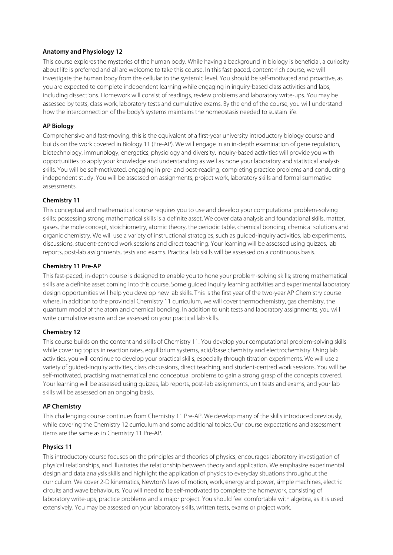# **Anatomy and Physiology 12**

This course explores the mysteries of the human body. While having a background in biology is beneficial, a curiosity about life is preferred and all are welcome to take this course. In this fast-paced, content-rich course, we will investigate the human body from the cellular to the systemic level. You should be self-motivated and proactive, as you are expected to complete independent learning while engaging in inquiry-based class activities and labs, including dissections. Homework will consist of readings, review problems and laboratory write-ups. You may be assessed by tests, class work, laboratory tests and cumulative exams. By the end of the course, you will understand how the interconnection of the body's systems maintains the homeostasis needed to sustain life.

# **AP Biology**

Comprehensive and fast-moving, this is the equivalent of a first-year university introductory biology course and builds on the work covered in Biology 11 (Pre-AP). We will engage in an in-depth examination of gene regulation, biotechnology, immunology, energetics, physiology and diversity. Inquiry-based activities will provide you with opportunities to apply your knowledge and understanding as well as hone your laboratory and statistical analysis skills. You will be self-motivated, engaging in pre- and post-reading, completing practice problems and conducting independent study. You will be assessed on assignments, project work, laboratory skills and formal summative assessments.

# **Chemistry 11**

This conceptual and mathematical course requires you to use and develop your computational problem-solving skills; possessing strong mathematical skills is a definite asset. We cover data analysis and foundational skills, matter, gases, the mole concept, stoichiometry, atomic theory, the periodic table, chemical bonding, chemical solutions and organic chemistry. We will use a variety of instructional strategies, such as guided-inquiry activities, lab experiments, discussions, student-centred work sessions and direct teaching. Your learning will be assessed using quizzes, lab reports, post-lab assignments, tests and exams. Practical lab skills will be assessed on a continuous basis.

# **Chemistry 11 Pre-AP**

This fast-paced, in-depth course is designed to enable you to hone your problem-solving skills; strong mathematical skills are a definite asset coming into this course. Some guided inquiry learning activities and experimental laboratory design opportunities will help you develop new lab skills. This is the first year of the two-year AP Chemistry course where, in addition to the provincial Chemistry 11 curriculum, we will cover thermochemistry, gas chemistry, the quantum model of the atom and chemical bonding. In addition to unit tests and laboratory assignments, you will write cumulative exams and be assessed on your practical lab skills.

# **Chemistry 12**

This course builds on the content and skills of Chemistry 11. You develop your computational problem-solving skills while covering topics in reaction rates, equilibrium systems, acid/base chemistry and electrochemistry. Using lab activities, you will continue to develop your practical skills, especially through titration experiments. We will use a variety of guided-inquiry activities, class discussions, direct teaching, and student-centred work sessions. You will be self-motivated, practising mathematical and conceptual problems to gain a strong grasp of the concepts covered. Your learning will be assessed using quizzes, lab reports, post-lab assignments, unit tests and exams, and your lab skills will be assessed on an ongoing basis.

# **AP Chemistry**

This challenging course continues from Chemistry 11 Pre-AP. We develop many of the skills introduced previously, while covering the Chemistry 12 curriculum and some additional topics. Our course expectations and assessment items are the same as in Chemistry 11 Pre-AP.

# **Physics 11**

This introductory course focuses on the principles and theories of physics, encourages laboratory investigation of physical relationships, and illustrates the relationship between theory and application. We emphasize experimental design and data analysis skills and highlight the application of physics to everyday situations throughout the curriculum. We cover 2-D kinematics, Newton's laws of motion, work, energy and power, simple machines, electric circuits and wave behaviours. You will need to be self-motivated to complete the homework, consisting of laboratory write-ups, practice problems and a major project. You should feel comfortable with algebra, as it is used extensively. You may be assessed on your laboratory skills, written tests, exams or project work.